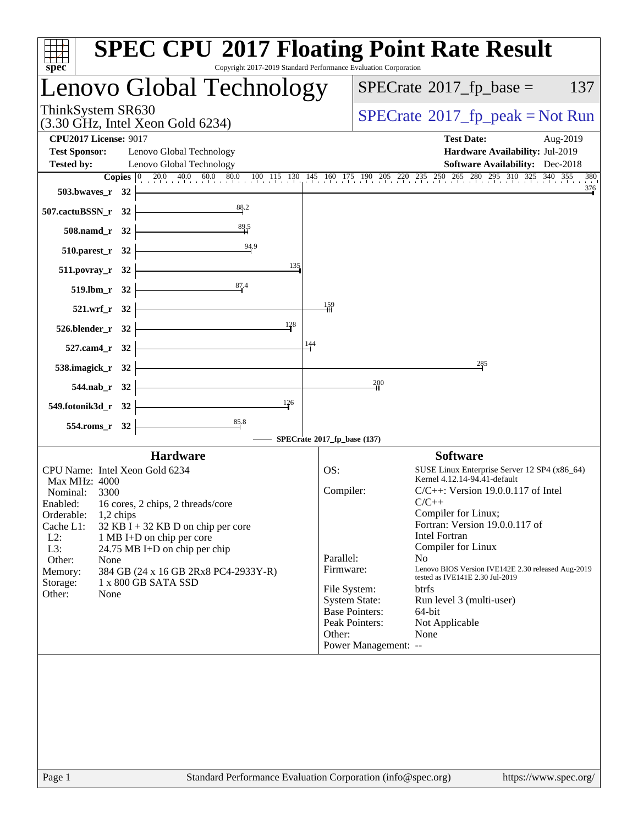| Lenovo Global Technology<br>ThinkSystem SR630<br>$(3.30 \text{ GHz}, \text{Intel Xeon Gold } 6234)$<br><b>CPU2017 License: 9017</b><br><b>Test Sponsor:</b><br>Lenovo Global Technology<br><b>Tested by:</b><br>Lenovo Global Technology<br><b>Copies</b> $\begin{bmatrix} 0 & 20.0 & 40.0 & 60.0 & 80.0 & 100 & 115 & 130 & 145 & 160 & 175 & 190 & 205 & 220 & 235 & 250 & 265 & 280 & 295 & 310 & 325 & 340 & 355 \end{bmatrix}$<br>503.bwaves_r 32<br>88.2<br>$507$ .cactuBSSN_r 32<br>$\frac{89.5}{H}$<br>$508$ .namd_r 32<br>$510.parest_r 32$<br>135<br>$511. povray_r 32$<br>$519. lbm_r$ $32$<br>$\frac{87.4}{4}$<br>159<br>$521.wrf_r$ 32<br>128<br>$526.blender_r 32$ $\overline{\qquad}$<br>144<br>527.cam4_r 32 $\vdash$<br>538.imagick_r 32 $\vert$<br>$544$ .nab_r 32 $\downarrow$<br>126<br><u> Alexandria de la contrada de la contrada de la con</u><br>549.fotonik3d_r 32<br>$\frac{85.8}{4}$<br>$554$ .roms_r 32 $\vert$<br>SPECrate®2017_fp_base (137) | $SPECTate@2017fr peak = Not Run$<br><b>Test Date:</b><br>Aug-2019<br>Hardware Availability: Jul-2019<br><b>Software Availability:</b> Dec-2018<br>380<br>376                                                                                                                                                                                                                                                                                                                                                                                                        |
|-----------------------------------------------------------------------------------------------------------------------------------------------------------------------------------------------------------------------------------------------------------------------------------------------------------------------------------------------------------------------------------------------------------------------------------------------------------------------------------------------------------------------------------------------------------------------------------------------------------------------------------------------------------------------------------------------------------------------------------------------------------------------------------------------------------------------------------------------------------------------------------------------------------------------------------------------------------------------------|---------------------------------------------------------------------------------------------------------------------------------------------------------------------------------------------------------------------------------------------------------------------------------------------------------------------------------------------------------------------------------------------------------------------------------------------------------------------------------------------------------------------------------------------------------------------|
|                                                                                                                                                                                                                                                                                                                                                                                                                                                                                                                                                                                                                                                                                                                                                                                                                                                                                                                                                                             |                                                                                                                                                                                                                                                                                                                                                                                                                                                                                                                                                                     |
|                                                                                                                                                                                                                                                                                                                                                                                                                                                                                                                                                                                                                                                                                                                                                                                                                                                                                                                                                                             |                                                                                                                                                                                                                                                                                                                                                                                                                                                                                                                                                                     |
|                                                                                                                                                                                                                                                                                                                                                                                                                                                                                                                                                                                                                                                                                                                                                                                                                                                                                                                                                                             |                                                                                                                                                                                                                                                                                                                                                                                                                                                                                                                                                                     |
|                                                                                                                                                                                                                                                                                                                                                                                                                                                                                                                                                                                                                                                                                                                                                                                                                                                                                                                                                                             | 285<br>200                                                                                                                                                                                                                                                                                                                                                                                                                                                                                                                                                          |
| <b>Hardware</b><br>CPU Name: Intel Xeon Gold 6234<br>OS:<br>Max MHz: 4000<br>Compiler:<br>Nominal: 3300<br>Enabled: 16 cores, 2 chips, 2 threads/core<br>Orderable:<br>1,2 chips<br>Cache L1:<br>32 KB I + 32 KB D on chip per core<br>$L2$ :<br>1 MB I+D on chip per core<br>L3:<br>24.75 MB I+D on chip per chip<br>Parallel:<br>Other:<br>None<br>Firmware:<br>384 GB (24 x 16 GB 2Rx8 PC4-2933Y-R)<br>Memory:<br>1 x 800 GB SATA SSD<br>Storage:<br>Other:<br>None<br>Other:                                                                                                                                                                                                                                                                                                                                                                                                                                                                                            | <b>Software</b><br>SUSE Linux Enterprise Server 12 SP4 (x86_64)<br>Kernel 4.12.14-94.41-default<br>$C/C++$ : Version 19.0.0.117 of Intel<br>$C/C++$<br>Compiler for Linux;<br>Fortran: Version 19.0.0.117 of<br><b>Intel Fortran</b><br>Compiler for Linux<br>N <sub>o</sub><br>Lenovo BIOS Version IVE142E 2.30 released Aug-2019<br>tested as IVE141E 2.30 Jul-2019<br>File System:<br><b>btrfs</b><br><b>System State:</b><br>Run level 3 (multi-user)<br><b>Base Pointers:</b><br>$64$ -bit<br>Peak Pointers:<br>Not Applicable<br>None<br>Power Management: -- |
|                                                                                                                                                                                                                                                                                                                                                                                                                                                                                                                                                                                                                                                                                                                                                                                                                                                                                                                                                                             |                                                                                                                                                                                                                                                                                                                                                                                                                                                                                                                                                                     |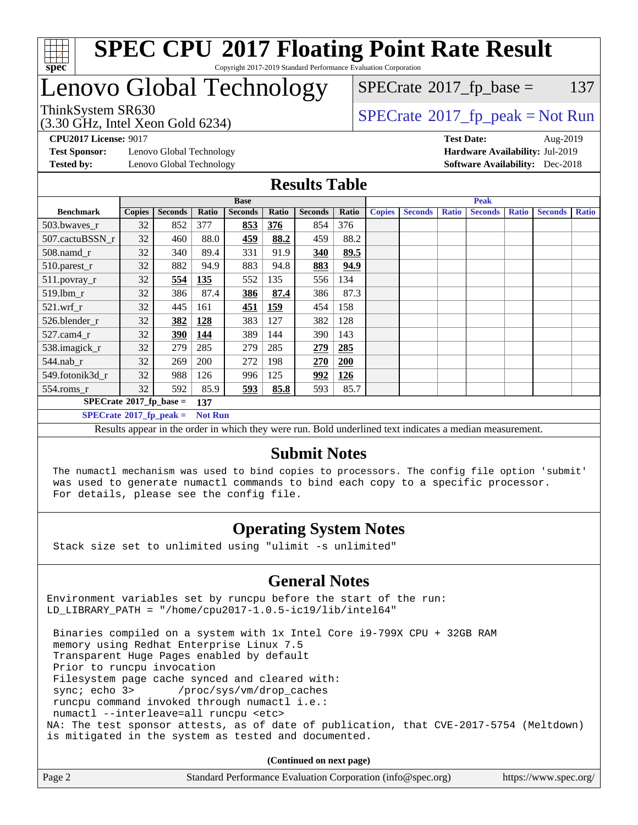

# Lenovo Global Technology

(3.30 GHz, Intel Xeon Gold 6234)

 $SPECTate@2017_fp\_peak = Not Run$  $SPECTate@2017<sub>fr</sub> base = 137$ 

**[Test Sponsor:](http://www.spec.org/auto/cpu2017/Docs/result-fields.html#TestSponsor)** Lenovo Global Technology **[Hardware Availability:](http://www.spec.org/auto/cpu2017/Docs/result-fields.html#HardwareAvailability)** Jul-2019 **[Tested by:](http://www.spec.org/auto/cpu2017/Docs/result-fields.html#Testedby)** Lenovo Global Technology **[Software Availability:](http://www.spec.org/auto/cpu2017/Docs/result-fields.html#SoftwareAvailability)** Dec-2018

**[CPU2017 License:](http://www.spec.org/auto/cpu2017/Docs/result-fields.html#CPU2017License)** 9017 **[Test Date:](http://www.spec.org/auto/cpu2017/Docs/result-fields.html#TestDate)** Aug-2019

#### **[Results Table](http://www.spec.org/auto/cpu2017/Docs/result-fields.html#ResultsTable)**

|                                        | <b>Base</b>   |                |                |                | <b>Peak</b> |                |       |               |                |              |                |              |                |              |
|----------------------------------------|---------------|----------------|----------------|----------------|-------------|----------------|-------|---------------|----------------|--------------|----------------|--------------|----------------|--------------|
| <b>Benchmark</b>                       | <b>Copies</b> | <b>Seconds</b> | Ratio          | <b>Seconds</b> | Ratio       | <b>Seconds</b> | Ratio | <b>Copies</b> | <b>Seconds</b> | <b>Ratio</b> | <b>Seconds</b> | <b>Ratio</b> | <b>Seconds</b> | <b>Ratio</b> |
| 503.bwayes_r                           | 32            | 852            | 377            | 853            | 376         | 854            | 376   |               |                |              |                |              |                |              |
| 507.cactuBSSN r                        | 32            | 460            | 88.0           | <u>459</u>     | 88.2        | 459            | 88.2  |               |                |              |                |              |                |              |
| $508$ .namd $_r$                       | 32            | 340            | 89.4           | 331            | 91.9        | 340            | 89.5  |               |                |              |                |              |                |              |
| 510.parest_r                           | 32            | 882            | 94.9           | 883            | 94.8        | 883            | 94.9  |               |                |              |                |              |                |              |
| 511.povray_r                           | 32            | 554            | 135            | 552            | 135         | 556            | 134   |               |                |              |                |              |                |              |
| 519.lbm r                              | 32            | 386            | 87.4           | 386            | 87.4        | 386            | 87.3  |               |                |              |                |              |                |              |
| $521$ .wrf r                           | 32            | 445            | 161            | 451            | <u>159</u>  | 454            | 158   |               |                |              |                |              |                |              |
| 526.blender r                          | 32            | 382            | 128            | 383            | 127         | 382            | 128   |               |                |              |                |              |                |              |
| 527.cam4 r                             | 32            | <u>390</u>     | 144            | 389            | 144         | 390            | 143   |               |                |              |                |              |                |              |
| 538.imagick_r                          | 32            | 279            | 285            | 279            | 285         | 279            | 285   |               |                |              |                |              |                |              |
| $544$ .nab r                           | 32            | 269            | 200            | 272            | 198         | 270            | 200   |               |                |              |                |              |                |              |
| 549.fotonik3d r                        | 32            | 988            | 126            | 996            | 125         | 992            | 126   |               |                |              |                |              |                |              |
| $554$ .roms_r                          | 32            | 592            | 85.9           | 593            | 85.8        | 593            | 85.7  |               |                |              |                |              |                |              |
| $SPECrate$ <sup>®</sup> 2017_fp_base = |               |                | 137            |                |             |                |       |               |                |              |                |              |                |              |
| $SPECrate^{\circ}2017$ fp peak =       |               |                | <b>Not Run</b> |                |             |                |       |               |                |              |                |              |                |              |

Results appear in the [order in which they were run.](http://www.spec.org/auto/cpu2017/Docs/result-fields.html#RunOrder) Bold underlined text [indicates a median measurement.](http://www.spec.org/auto/cpu2017/Docs/result-fields.html#Median)

#### **[Submit Notes](http://www.spec.org/auto/cpu2017/Docs/result-fields.html#SubmitNotes)**

 The numactl mechanism was used to bind copies to processors. The config file option 'submit' was used to generate numactl commands to bind each copy to a specific processor. For details, please see the config file.

### **[Operating System Notes](http://www.spec.org/auto/cpu2017/Docs/result-fields.html#OperatingSystemNotes)**

Stack size set to unlimited using "ulimit -s unlimited"

### **[General Notes](http://www.spec.org/auto/cpu2017/Docs/result-fields.html#GeneralNotes)**

Environment variables set by runcpu before the start of the run: LD\_LIBRARY\_PATH = "/home/cpu2017-1.0.5-ic19/lib/intel64"

 Binaries compiled on a system with 1x Intel Core i9-799X CPU + 32GB RAM memory using Redhat Enterprise Linux 7.5 Transparent Huge Pages enabled by default Prior to runcpu invocation Filesystem page cache synced and cleared with: sync; echo 3> /proc/sys/vm/drop\_caches runcpu command invoked through numactl i.e.: numactl --interleave=all runcpu <etc> NA: The test sponsor attests, as of date of publication, that CVE-2017-5754 (Meltdown) is mitigated in the system as tested and documented.

**(Continued on next page)**

| Page 2 | Standard Performance Evaluation Corporation (info@spec.org) | https://www.spec.org/ |
|--------|-------------------------------------------------------------|-----------------------|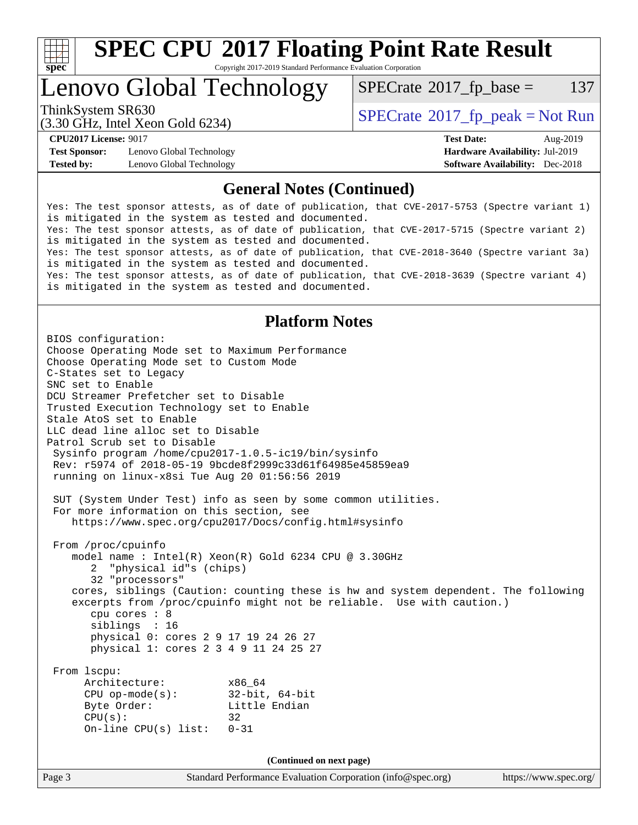

# **[SPEC CPU](http://www.spec.org/auto/cpu2017/Docs/result-fields.html#SPECCPU2017FloatingPointRateResult)[2017 Floating Point Rate Result](http://www.spec.org/auto/cpu2017/Docs/result-fields.html#SPECCPU2017FloatingPointRateResult)**

Copyright 2017-2019 Standard Performance Evaluation Corporation

## Lenovo Global Technology

 $SPECTate$ <sup>®</sup>[2017\\_fp\\_base =](http://www.spec.org/auto/cpu2017/Docs/result-fields.html#SPECrate2017fpbase) 137

(3.30 GHz, Intel Xeon Gold 6234)

ThinkSystem SR630<br>  $SPECTI<sub>2</sub> 20 CI<sub>2</sub> Intel Yeso Gold 6234$ 

**[Test Sponsor:](http://www.spec.org/auto/cpu2017/Docs/result-fields.html#TestSponsor)** Lenovo Global Technology **[Hardware Availability:](http://www.spec.org/auto/cpu2017/Docs/result-fields.html#HardwareAvailability)** Jul-2019 **[Tested by:](http://www.spec.org/auto/cpu2017/Docs/result-fields.html#Testedby)** Lenovo Global Technology **[Software Availability:](http://www.spec.org/auto/cpu2017/Docs/result-fields.html#SoftwareAvailability)** Dec-2018

**[CPU2017 License:](http://www.spec.org/auto/cpu2017/Docs/result-fields.html#CPU2017License)** 9017 **[Test Date:](http://www.spec.org/auto/cpu2017/Docs/result-fields.html#TestDate)** Aug-2019

#### **[General Notes \(Continued\)](http://www.spec.org/auto/cpu2017/Docs/result-fields.html#GeneralNotes)**

Yes: The test sponsor attests, as of date of publication, that CVE-2017-5753 (Spectre variant 1) is mitigated in the system as tested and documented. Yes: The test sponsor attests, as of date of publication, that CVE-2017-5715 (Spectre variant 2) is mitigated in the system as tested and documented. Yes: The test sponsor attests, as of date of publication, that CVE-2018-3640 (Spectre variant 3a) is mitigated in the system as tested and documented. Yes: The test sponsor attests, as of date of publication, that CVE-2018-3639 (Spectre variant 4) is mitigated in the system as tested and documented.

#### **[Platform Notes](http://www.spec.org/auto/cpu2017/Docs/result-fields.html#PlatformNotes)**

Page 3 Standard Performance Evaluation Corporation [\(info@spec.org\)](mailto:info@spec.org) <https://www.spec.org/> BIOS configuration: Choose Operating Mode set to Maximum Performance Choose Operating Mode set to Custom Mode C-States set to Legacy SNC set to Enable DCU Streamer Prefetcher set to Disable Trusted Execution Technology set to Enable Stale AtoS set to Enable LLC dead line alloc set to Disable Patrol Scrub set to Disable Sysinfo program /home/cpu2017-1.0.5-ic19/bin/sysinfo Rev: r5974 of 2018-05-19 9bcde8f2999c33d61f64985e45859ea9 running on linux-x8si Tue Aug 20 01:56:56 2019 SUT (System Under Test) info as seen by some common utilities. For more information on this section, see <https://www.spec.org/cpu2017/Docs/config.html#sysinfo> From /proc/cpuinfo model name : Intel(R) Xeon(R) Gold 6234 CPU @ 3.30GHz 2 "physical id"s (chips) 32 "processors" cores, siblings (Caution: counting these is hw and system dependent. The following excerpts from /proc/cpuinfo might not be reliable. Use with caution.) cpu cores : 8 siblings : 16 physical 0: cores 2 9 17 19 24 26 27 physical 1: cores 2 3 4 9 11 24 25 27 From lscpu: Architecture: x86\_64 CPU op-mode(s): 32-bit, 64-bit Byte Order: Little Endian  $CPU(s):$  32 On-line CPU(s) list: 0-31 **(Continued on next page)**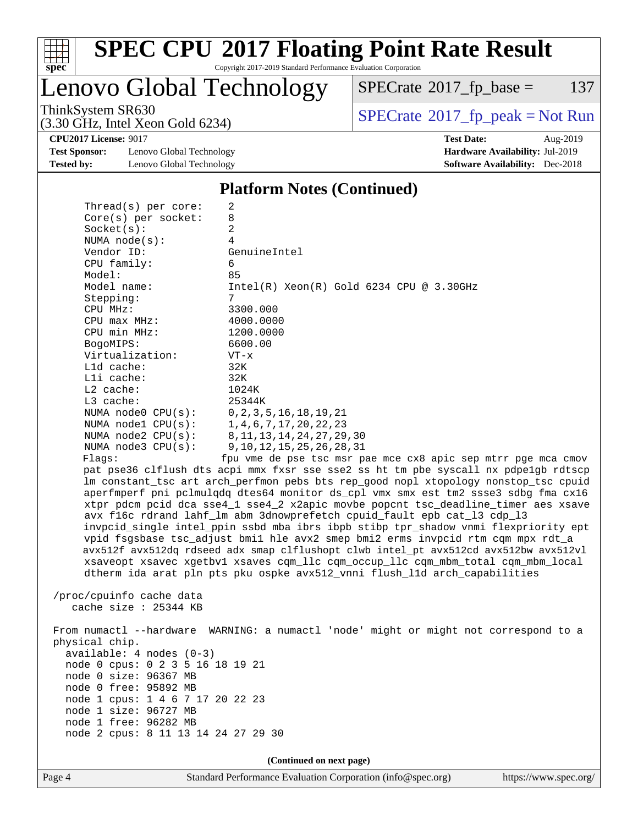

# **[SPEC CPU](http://www.spec.org/auto/cpu2017/Docs/result-fields.html#SPECCPU2017FloatingPointRateResult)[2017 Floating Point Rate Result](http://www.spec.org/auto/cpu2017/Docs/result-fields.html#SPECCPU2017FloatingPointRateResult)**

Copyright 2017-2019 Standard Performance Evaluation Corporation

Lenovo Global Technology

 $SPECTate$ <sup>®</sup>[2017\\_fp\\_base =](http://www.spec.org/auto/cpu2017/Docs/result-fields.html#SPECrate2017fpbase) 137

(3.30 GHz, Intel Xeon Gold 6234)

ThinkSystem SR630<br>  $(3.30 \text{ GHz}_{\text{1.1}})$  [SPECrate](http://www.spec.org/auto/cpu2017/Docs/result-fields.html#SPECrate2017fppeak)®[2017\\_fp\\_peak = N](http://www.spec.org/auto/cpu2017/Docs/result-fields.html#SPECrate2017fppeak)ot Run

**[CPU2017 License:](http://www.spec.org/auto/cpu2017/Docs/result-fields.html#CPU2017License)** 9017 **[Test Date:](http://www.spec.org/auto/cpu2017/Docs/result-fields.html#TestDate)** Aug-2019

**[Test Sponsor:](http://www.spec.org/auto/cpu2017/Docs/result-fields.html#TestSponsor)** Lenovo Global Technology **[Hardware Availability:](http://www.spec.org/auto/cpu2017/Docs/result-fields.html#HardwareAvailability)** Jul-2019 **[Tested by:](http://www.spec.org/auto/cpu2017/Docs/result-fields.html#Testedby)** Lenovo Global Technology **[Software Availability:](http://www.spec.org/auto/cpu2017/Docs/result-fields.html#SoftwareAvailability)** Dec-2018

**[Platform Notes \(Continued\)](http://www.spec.org/auto/cpu2017/Docs/result-fields.html#PlatformNotes)**

| Thread( $s$ ) per core:                | 2                                                                                    |
|----------------------------------------|--------------------------------------------------------------------------------------|
| $Core(s)$ per socket:                  | 8                                                                                    |
| Socket(s):                             | 2                                                                                    |
| NUMA $node(s)$ :                       | 4                                                                                    |
| Vendor ID:                             | GenuineIntel                                                                         |
| CPU family:                            | 6                                                                                    |
| Model:                                 | 85                                                                                   |
| Model name:                            | $Intel(R)$ Xeon $(R)$ Gold 6234 CPU @ 3.30GHz                                        |
| Stepping:                              | 7                                                                                    |
| CPU MHz:                               | 3300.000                                                                             |
| CPU max MHz:                           | 4000.0000                                                                            |
| CPU min MHz:                           | 1200.0000                                                                            |
| BogoMIPS:                              | 6600.00                                                                              |
| Virtualization:                        | $VT - x$                                                                             |
| L1d cache:                             | 32K                                                                                  |
| Lli cache:                             | 32K                                                                                  |
| $L2$ cache:                            | 1024K                                                                                |
| $L3$ cache:                            | 25344K                                                                               |
| NUMA node0 CPU(s): 0,2,3,5,16,18,19,21 |                                                                                      |
| NUMA node1 CPU(s): 1,4,6,7,17,20,22,23 |                                                                                      |
| NUMA $node2$ $CPU(s):$                 | 8, 11, 13, 14, 24, 27, 29, 30                                                        |
| NUMA node3 CPU(s):                     | 9, 10, 12, 15, 25, 26, 28, 31                                                        |
| Flagg:                                 | fpu vme de pse tsc msr pae mce cx8 apic sep mtrr pqe mca cmov                        |
|                                        | pat pse36 clflush dts acpi mmx fxsr sse sse2 ss ht tm pbe syscall nx pdpelgb rdtscp  |
|                                        | lm constant_tsc art arch_perfmon pebs bts rep_good nopl xtopology nonstop_tsc cpuid  |
|                                        | aperfmperf pni pclmulgdg dtes64 monitor ds_cpl vmx smx est tm2 ssse3 sdbg fma cx16   |
|                                        | xtpr pdcm pcid dca sse4_1 sse4_2 x2apic movbe popcnt tsc_deadline_timer aes xsave    |
|                                        | avx f16c rdrand lahf_lm abm 3dnowprefetch cpuid_fault epb cat_13 cdp_13              |
|                                        | invpcid_single intel_ppin ssbd mba ibrs ibpb stibp tpr_shadow vnmi flexpriority ept  |
|                                        | vpid fsgsbase tsc_adjust bmil hle avx2 smep bmi2 erms invpcid rtm cqm mpx rdt_a      |
|                                        | avx512f avx512dq rdseed adx smap clflushopt clwb intel_pt avx512cd avx512bw avx512vl |
|                                        |                                                                                      |

 xsaveopt xsavec xgetbv1 xsaves cqm\_llc cqm\_occup\_llc cqm\_mbm\_total cqm\_mbm\_local dtherm ida arat pln pts pku ospke avx512\_vnni flush\_l1d arch\_capabilities

 /proc/cpuinfo cache data cache size : 25344 KB

 From numactl --hardware WARNING: a numactl 'node' might or might not correspond to a physical chip. available: 4 nodes (0-3) node 0 cpus: 0 2 3 5 16 18 19 21 node 0 size: 96367 MB node 0 free: 95892 MB node 1 cpus: 1 4 6 7 17 20 22 23 node 1 size: 96727 MB node 1 free: 96282 MB node 2 cpus: 8 11 13 14 24 27 29 30

**(Continued on next page)**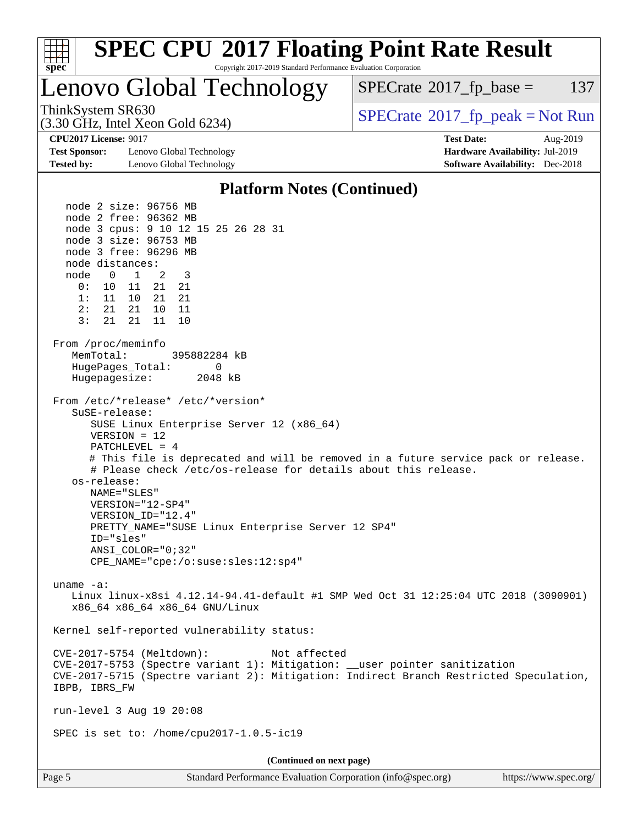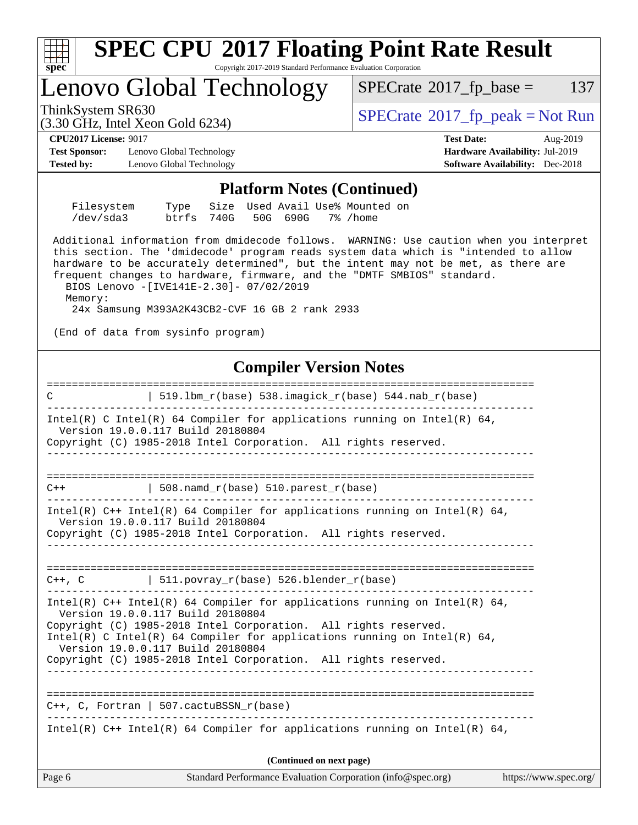| S<br>œ<br>÷. |  |  |  |  |  |
|--------------|--|--|--|--|--|

# Lenovo Global Technology

 $SPECTate$ <sup>®</sup>[2017\\_fp\\_base =](http://www.spec.org/auto/cpu2017/Docs/result-fields.html#SPECrate2017fpbase) 137

(3.30 GHz, Intel Xeon Gold 6234)

ThinkSystem SR630<br>  $SPECTI<sub>2</sub>120 CLI<sub>2</sub>120 CLI<sub>2</sub>120 CLI<sub>2</sub>120 CLI<sub>2</sub>120 CLI<sub>2</sub>120 CLI<sub>2</sub>120 CLI<sub>2</sub>120 CLI<sub>2</sub>120 CLI<sub>2</sub>120 CLI<sub>2</sub>120 CLI<sub>2</sub>120 CLI<sub>2</sub>120 CLI<sub>2</sub>120 CLI<sub>2</sub>120 CLI<sub>2</sub>120 CLI<sub>2</sub>$ 

**[Test Sponsor:](http://www.spec.org/auto/cpu2017/Docs/result-fields.html#TestSponsor)** Lenovo Global Technology **[Hardware Availability:](http://www.spec.org/auto/cpu2017/Docs/result-fields.html#HardwareAvailability)** Jul-2019 **[Tested by:](http://www.spec.org/auto/cpu2017/Docs/result-fields.html#Testedby)** Lenovo Global Technology **[Software Availability:](http://www.spec.org/auto/cpu2017/Docs/result-fields.html#SoftwareAvailability)** Dec-2018

**[CPU2017 License:](http://www.spec.org/auto/cpu2017/Docs/result-fields.html#CPU2017License)** 9017 **[Test Date:](http://www.spec.org/auto/cpu2017/Docs/result-fields.html#TestDate)** Aug-2019

#### **[Platform Notes \(Continued\)](http://www.spec.org/auto/cpu2017/Docs/result-fields.html#PlatformNotes)**

| Filesystem |                               |  |  | Type Size Used Avail Use% Mounted on |  |
|------------|-------------------------------|--|--|--------------------------------------|--|
| /dev/sda3  | btrfs 740G 50G 690G 7% / home |  |  |                                      |  |

 Additional information from dmidecode follows. WARNING: Use caution when you interpret this section. The 'dmidecode' program reads system data which is "intended to allow hardware to be accurately determined", but the intent may not be met, as there are frequent changes to hardware, firmware, and the "DMTF SMBIOS" standard.

 BIOS Lenovo -[IVE141E-2.30]- 07/02/2019 Memory: 24x Samsung M393A2K43CB2-CVF 16 GB 2 rank 2933

(End of data from sysinfo program)

### **[Compiler Version Notes](http://www.spec.org/auto/cpu2017/Docs/result-fields.html#CompilerVersionNotes)**

Page 6 Standard Performance Evaluation Corporation [\(info@spec.org\)](mailto:info@spec.org) <https://www.spec.org/> ============================================================================== C  $| 519.1bm_r(base) 538.imagick_r(base) 544.nab_r(base)$ ------------------------------------------------------------------------------ Intel(R) C Intel(R) 64 Compiler for applications running on Intel(R)  $64$ , Version 19.0.0.117 Build 20180804 Copyright (C) 1985-2018 Intel Corporation. All rights reserved. ------------------------------------------------------------------------------ ==============================================================================  $C++$  | 508.namd  $r(base)$  510.parest  $r(base)$ ------------------------------------------------------------------------------ Intel(R)  $C++$  Intel(R) 64 Compiler for applications running on Intel(R) 64, Version 19.0.0.117 Build 20180804 Copyright (C) 1985-2018 Intel Corporation. All rights reserved. ------------------------------------------------------------------------------ ==============================================================================  $C++$ , C  $\vert$  511.povray\_r(base) 526.blender\_r(base) ------------------------------------------------------------------------------ Intel(R) C++ Intel(R) 64 Compiler for applications running on Intel(R) 64, Version 19.0.0.117 Build 20180804 Copyright (C) 1985-2018 Intel Corporation. All rights reserved. Intel(R) C Intel(R) 64 Compiler for applications running on Intel(R)  $64$ , Version 19.0.0.117 Build 20180804 Copyright (C) 1985-2018 Intel Corporation. All rights reserved. ------------------------------------------------------------------------------ ============================================================================== C++, C, Fortran | 507.cactuBSSN\_r(base) ------------------------------------------------------------------------------ Intel(R)  $C++$  Intel(R) 64 Compiler for applications running on Intel(R) 64, **(Continued on next page)**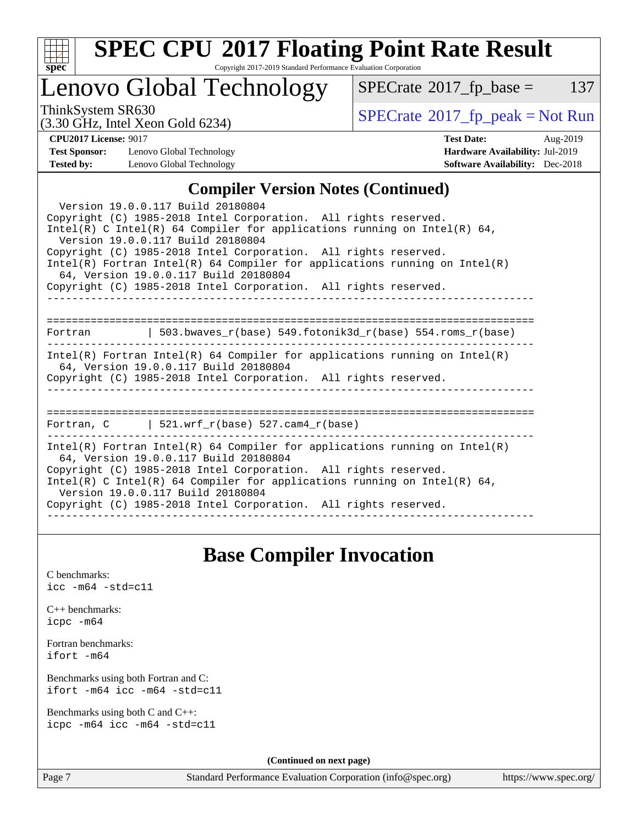

# **[SPEC CPU](http://www.spec.org/auto/cpu2017/Docs/result-fields.html#SPECCPU2017FloatingPointRateResult)[2017 Floating Point Rate Result](http://www.spec.org/auto/cpu2017/Docs/result-fields.html#SPECCPU2017FloatingPointRateResult)**

Copyright 2017-2019 Standard Performance Evaluation Corporation

## Lenovo Global Technology

 $SPECTate@2017_fp\_base = 137$ 

(3.30 GHz, Intel Xeon Gold 6234)

ThinkSystem SR630<br>  $\begin{array}{c}\n\text{SPECrate} \textcirc 2017\_fp\_peak = Not Run \\
\text{SPECrate} \textcirc 2017\_fp\_peak = Not Run\n\end{array}$  $\begin{array}{c}\n\text{SPECrate} \textcirc 2017\_fp\_peak = Not Run \\
\text{SPECrate} \textcirc 2017\_fp\_peak = Not Run\n\end{array}$  $\begin{array}{c}\n\text{SPECrate} \textcirc 2017\_fp\_peak = Not Run \\
\text{SPECrate} \textcirc 2017\_fp\_peak = Not Run\n\end{array}$ 

**[Test Sponsor:](http://www.spec.org/auto/cpu2017/Docs/result-fields.html#TestSponsor)** Lenovo Global Technology **[Hardware Availability:](http://www.spec.org/auto/cpu2017/Docs/result-fields.html#HardwareAvailability)** Jul-2019 **[Tested by:](http://www.spec.org/auto/cpu2017/Docs/result-fields.html#Testedby)** Lenovo Global Technology **[Software Availability:](http://www.spec.org/auto/cpu2017/Docs/result-fields.html#SoftwareAvailability)** Dec-2018

**[CPU2017 License:](http://www.spec.org/auto/cpu2017/Docs/result-fields.html#CPU2017License)** 9017 **[Test Date:](http://www.spec.org/auto/cpu2017/Docs/result-fields.html#TestDate)** Aug-2019

### **[Compiler Version Notes \(Continued\)](http://www.spec.org/auto/cpu2017/Docs/result-fields.html#CompilerVersionNotes)**

| Version 19.0.0.117 Build 20180804<br>Copyright (C) 1985-2018 Intel Corporation. All rights reserved.<br>Intel(R) C Intel(R) 64 Compiler for applications running on Intel(R) 64,<br>Version 19.0.0.117 Build 20180804<br>Copyright (C) 1985-2018 Intel Corporation. All rights reserved.<br>Intel(R) Fortran Intel(R) 64 Compiler for applications running on Intel(R)<br>64, Version 19.0.0.117 Build 20180804<br>Copyright (C) 1985-2018 Intel Corporation. All rights reserved. |
|------------------------------------------------------------------------------------------------------------------------------------------------------------------------------------------------------------------------------------------------------------------------------------------------------------------------------------------------------------------------------------------------------------------------------------------------------------------------------------|
| Fortran 		   503.bwaves_r(base) 549.fotonik3d_r(base) 554.roms_r(base)                                                                                                                                                                                                                                                                                                                                                                                                             |
| Intel(R) Fortran Intel(R) 64 Compiler for applications running on Intel(R)<br>64, Version 19.0.0.117 Build 20180804<br>Copyright (C) 1985-2018 Intel Corporation. All rights reserved.                                                                                                                                                                                                                                                                                             |
| Fortran, C $\vert$ 521.wrf r(base) 527.cam4 r(base)                                                                                                                                                                                                                                                                                                                                                                                                                                |
| $Intel(R)$ Fortran Intel(R) 64 Compiler for applications running on Intel(R)<br>64, Version 19.0.0.117 Build 20180804<br>Copyright (C) 1985-2018 Intel Corporation. All rights reserved.<br>Intel(R) C Intel(R) 64 Compiler for applications running on Intel(R) 64,<br>Version 19.0.0.117 Build 20180804<br>Copyright (C) 1985-2018 Intel Corporation. All rights reserved.                                                                                                       |

### **[Base Compiler Invocation](http://www.spec.org/auto/cpu2017/Docs/result-fields.html#BaseCompilerInvocation)**

[C benchmarks](http://www.spec.org/auto/cpu2017/Docs/result-fields.html#Cbenchmarks): [icc -m64 -std=c11](http://www.spec.org/cpu2017/results/res2019q3/cpu2017-20190902-17436.flags.html#user_CCbase_intel_icc_64bit_c11_33ee0cdaae7deeeab2a9725423ba97205ce30f63b9926c2519791662299b76a0318f32ddfffdc46587804de3178b4f9328c46fa7c2b0cd779d7a61945c91cd35)

|           | $C_{++}$ benchmarks: |
|-----------|----------------------|
| icpc -m64 |                      |

[Fortran benchmarks](http://www.spec.org/auto/cpu2017/Docs/result-fields.html#Fortranbenchmarks): [ifort -m64](http://www.spec.org/cpu2017/results/res2019q3/cpu2017-20190902-17436.flags.html#user_FCbase_intel_ifort_64bit_24f2bb282fbaeffd6157abe4f878425411749daecae9a33200eee2bee2fe76f3b89351d69a8130dd5949958ce389cf37ff59a95e7a40d588e8d3a57e0c3fd751)

[Benchmarks using both Fortran and C](http://www.spec.org/auto/cpu2017/Docs/result-fields.html#BenchmarksusingbothFortranandC): [ifort -m64](http://www.spec.org/cpu2017/results/res2019q3/cpu2017-20190902-17436.flags.html#user_CC_FCbase_intel_ifort_64bit_24f2bb282fbaeffd6157abe4f878425411749daecae9a33200eee2bee2fe76f3b89351d69a8130dd5949958ce389cf37ff59a95e7a40d588e8d3a57e0c3fd751) [icc -m64 -std=c11](http://www.spec.org/cpu2017/results/res2019q3/cpu2017-20190902-17436.flags.html#user_CC_FCbase_intel_icc_64bit_c11_33ee0cdaae7deeeab2a9725423ba97205ce30f63b9926c2519791662299b76a0318f32ddfffdc46587804de3178b4f9328c46fa7c2b0cd779d7a61945c91cd35)

[Benchmarks using both C and C++](http://www.spec.org/auto/cpu2017/Docs/result-fields.html#BenchmarksusingbothCandCXX): [icpc -m64](http://www.spec.org/cpu2017/results/res2019q3/cpu2017-20190902-17436.flags.html#user_CC_CXXbase_intel_icpc_64bit_4ecb2543ae3f1412ef961e0650ca070fec7b7afdcd6ed48761b84423119d1bf6bdf5cad15b44d48e7256388bc77273b966e5eb805aefd121eb22e9299b2ec9d9) [icc -m64 -std=c11](http://www.spec.org/cpu2017/results/res2019q3/cpu2017-20190902-17436.flags.html#user_CC_CXXbase_intel_icc_64bit_c11_33ee0cdaae7deeeab2a9725423ba97205ce30f63b9926c2519791662299b76a0318f32ddfffdc46587804de3178b4f9328c46fa7c2b0cd779d7a61945c91cd35)

**(Continued on next page)**

Page 7 Standard Performance Evaluation Corporation [\(info@spec.org\)](mailto:info@spec.org) <https://www.spec.org/>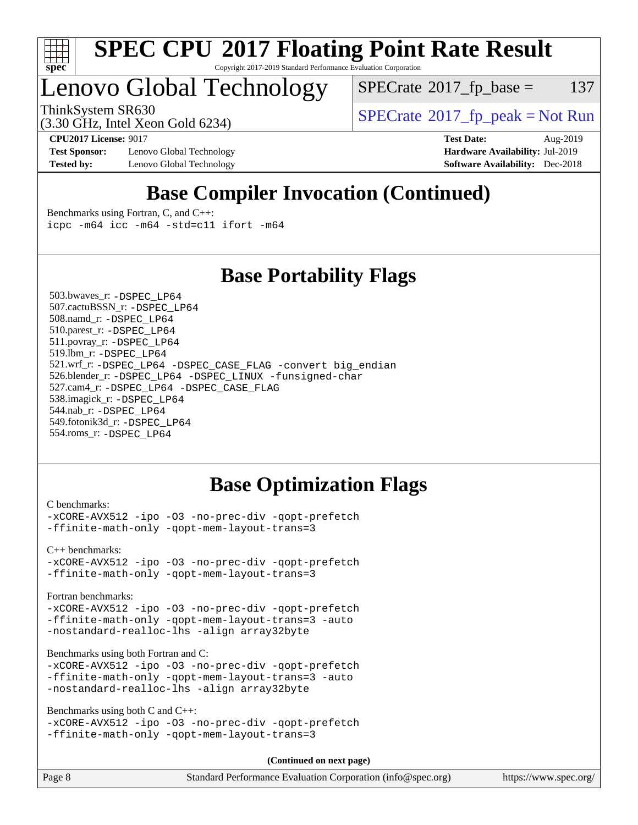

# Lenovo Global Technology

 $SPECTate$ <sup>®</sup>[2017\\_fp\\_base =](http://www.spec.org/auto/cpu2017/Docs/result-fields.html#SPECrate2017fpbase) 137

(3.30 GHz, Intel Xeon Gold 6234)

ThinkSystem SR630<br>  $(3.30 \text{ GHz}_{\text{1.1}})$  [SPECrate](http://www.spec.org/auto/cpu2017/Docs/result-fields.html#SPECrate2017fppeak)®[2017\\_fp\\_peak = N](http://www.spec.org/auto/cpu2017/Docs/result-fields.html#SPECrate2017fppeak)ot Run

**[Test Sponsor:](http://www.spec.org/auto/cpu2017/Docs/result-fields.html#TestSponsor)** Lenovo Global Technology **[Hardware Availability:](http://www.spec.org/auto/cpu2017/Docs/result-fields.html#HardwareAvailability)** Jul-2019 **[Tested by:](http://www.spec.org/auto/cpu2017/Docs/result-fields.html#Testedby)** Lenovo Global Technology **[Software Availability:](http://www.spec.org/auto/cpu2017/Docs/result-fields.html#SoftwareAvailability)** Dec-2018

**[CPU2017 License:](http://www.spec.org/auto/cpu2017/Docs/result-fields.html#CPU2017License)** 9017 **[Test Date:](http://www.spec.org/auto/cpu2017/Docs/result-fields.html#TestDate)** Aug-2019

## **[Base Compiler Invocation \(Continued\)](http://www.spec.org/auto/cpu2017/Docs/result-fields.html#BaseCompilerInvocation)**

[Benchmarks using Fortran, C, and C++:](http://www.spec.org/auto/cpu2017/Docs/result-fields.html#BenchmarksusingFortranCandCXX) [icpc -m64](http://www.spec.org/cpu2017/results/res2019q3/cpu2017-20190902-17436.flags.html#user_CC_CXX_FCbase_intel_icpc_64bit_4ecb2543ae3f1412ef961e0650ca070fec7b7afdcd6ed48761b84423119d1bf6bdf5cad15b44d48e7256388bc77273b966e5eb805aefd121eb22e9299b2ec9d9) [icc -m64 -std=c11](http://www.spec.org/cpu2017/results/res2019q3/cpu2017-20190902-17436.flags.html#user_CC_CXX_FCbase_intel_icc_64bit_c11_33ee0cdaae7deeeab2a9725423ba97205ce30f63b9926c2519791662299b76a0318f32ddfffdc46587804de3178b4f9328c46fa7c2b0cd779d7a61945c91cd35) [ifort -m64](http://www.spec.org/cpu2017/results/res2019q3/cpu2017-20190902-17436.flags.html#user_CC_CXX_FCbase_intel_ifort_64bit_24f2bb282fbaeffd6157abe4f878425411749daecae9a33200eee2bee2fe76f3b89351d69a8130dd5949958ce389cf37ff59a95e7a40d588e8d3a57e0c3fd751)

### **[Base Portability Flags](http://www.spec.org/auto/cpu2017/Docs/result-fields.html#BasePortabilityFlags)**

 503.bwaves\_r: [-DSPEC\\_LP64](http://www.spec.org/cpu2017/results/res2019q3/cpu2017-20190902-17436.flags.html#suite_basePORTABILITY503_bwaves_r_DSPEC_LP64) 507.cactuBSSN\_r: [-DSPEC\\_LP64](http://www.spec.org/cpu2017/results/res2019q3/cpu2017-20190902-17436.flags.html#suite_basePORTABILITY507_cactuBSSN_r_DSPEC_LP64) 508.namd\_r: [-DSPEC\\_LP64](http://www.spec.org/cpu2017/results/res2019q3/cpu2017-20190902-17436.flags.html#suite_basePORTABILITY508_namd_r_DSPEC_LP64) 510.parest\_r: [-DSPEC\\_LP64](http://www.spec.org/cpu2017/results/res2019q3/cpu2017-20190902-17436.flags.html#suite_basePORTABILITY510_parest_r_DSPEC_LP64) 511.povray\_r: [-DSPEC\\_LP64](http://www.spec.org/cpu2017/results/res2019q3/cpu2017-20190902-17436.flags.html#suite_basePORTABILITY511_povray_r_DSPEC_LP64) 519.lbm\_r: [-DSPEC\\_LP64](http://www.spec.org/cpu2017/results/res2019q3/cpu2017-20190902-17436.flags.html#suite_basePORTABILITY519_lbm_r_DSPEC_LP64) 521.wrf\_r: [-DSPEC\\_LP64](http://www.spec.org/cpu2017/results/res2019q3/cpu2017-20190902-17436.flags.html#suite_basePORTABILITY521_wrf_r_DSPEC_LP64) [-DSPEC\\_CASE\\_FLAG](http://www.spec.org/cpu2017/results/res2019q3/cpu2017-20190902-17436.flags.html#b521.wrf_r_baseCPORTABILITY_DSPEC_CASE_FLAG) [-convert big\\_endian](http://www.spec.org/cpu2017/results/res2019q3/cpu2017-20190902-17436.flags.html#user_baseFPORTABILITY521_wrf_r_convert_big_endian_c3194028bc08c63ac5d04de18c48ce6d347e4e562e8892b8bdbdc0214820426deb8554edfa529a3fb25a586e65a3d812c835984020483e7e73212c4d31a38223) 526.blender\_r: [-DSPEC\\_LP64](http://www.spec.org/cpu2017/results/res2019q3/cpu2017-20190902-17436.flags.html#suite_basePORTABILITY526_blender_r_DSPEC_LP64) [-DSPEC\\_LINUX](http://www.spec.org/cpu2017/results/res2019q3/cpu2017-20190902-17436.flags.html#b526.blender_r_baseCPORTABILITY_DSPEC_LINUX) [-funsigned-char](http://www.spec.org/cpu2017/results/res2019q3/cpu2017-20190902-17436.flags.html#user_baseCPORTABILITY526_blender_r_force_uchar_40c60f00ab013830e2dd6774aeded3ff59883ba5a1fc5fc14077f794d777847726e2a5858cbc7672e36e1b067e7e5c1d9a74f7176df07886a243d7cc18edfe67) 527.cam4\_r: [-DSPEC\\_LP64](http://www.spec.org/cpu2017/results/res2019q3/cpu2017-20190902-17436.flags.html#suite_basePORTABILITY527_cam4_r_DSPEC_LP64) [-DSPEC\\_CASE\\_FLAG](http://www.spec.org/cpu2017/results/res2019q3/cpu2017-20190902-17436.flags.html#b527.cam4_r_baseCPORTABILITY_DSPEC_CASE_FLAG) 538.imagick\_r: [-DSPEC\\_LP64](http://www.spec.org/cpu2017/results/res2019q3/cpu2017-20190902-17436.flags.html#suite_basePORTABILITY538_imagick_r_DSPEC_LP64) 544.nab\_r: [-DSPEC\\_LP64](http://www.spec.org/cpu2017/results/res2019q3/cpu2017-20190902-17436.flags.html#suite_basePORTABILITY544_nab_r_DSPEC_LP64) 549.fotonik3d\_r: [-DSPEC\\_LP64](http://www.spec.org/cpu2017/results/res2019q3/cpu2017-20190902-17436.flags.html#suite_basePORTABILITY549_fotonik3d_r_DSPEC_LP64) 554.roms\_r: [-DSPEC\\_LP64](http://www.spec.org/cpu2017/results/res2019q3/cpu2017-20190902-17436.flags.html#suite_basePORTABILITY554_roms_r_DSPEC_LP64)

### **[Base Optimization Flags](http://www.spec.org/auto/cpu2017/Docs/result-fields.html#BaseOptimizationFlags)**

[C benchmarks](http://www.spec.org/auto/cpu2017/Docs/result-fields.html#Cbenchmarks):

[-xCORE-AVX512](http://www.spec.org/cpu2017/results/res2019q3/cpu2017-20190902-17436.flags.html#user_CCbase_f-xCORE-AVX512) [-ipo](http://www.spec.org/cpu2017/results/res2019q3/cpu2017-20190902-17436.flags.html#user_CCbase_f-ipo) [-O3](http://www.spec.org/cpu2017/results/res2019q3/cpu2017-20190902-17436.flags.html#user_CCbase_f-O3) [-no-prec-div](http://www.spec.org/cpu2017/results/res2019q3/cpu2017-20190902-17436.flags.html#user_CCbase_f-no-prec-div) [-qopt-prefetch](http://www.spec.org/cpu2017/results/res2019q3/cpu2017-20190902-17436.flags.html#user_CCbase_f-qopt-prefetch) [-ffinite-math-only](http://www.spec.org/cpu2017/results/res2019q3/cpu2017-20190902-17436.flags.html#user_CCbase_f_finite_math_only_cb91587bd2077682c4b38af759c288ed7c732db004271a9512da14a4f8007909a5f1427ecbf1a0fb78ff2a814402c6114ac565ca162485bbcae155b5e4258871) [-qopt-mem-layout-trans=3](http://www.spec.org/cpu2017/results/res2019q3/cpu2017-20190902-17436.flags.html#user_CCbase_f-qopt-mem-layout-trans_de80db37974c74b1f0e20d883f0b675c88c3b01e9d123adea9b28688d64333345fb62bc4a798493513fdb68f60282f9a726aa07f478b2f7113531aecce732043)

[C++ benchmarks:](http://www.spec.org/auto/cpu2017/Docs/result-fields.html#CXXbenchmarks) [-xCORE-AVX512](http://www.spec.org/cpu2017/results/res2019q3/cpu2017-20190902-17436.flags.html#user_CXXbase_f-xCORE-AVX512) [-ipo](http://www.spec.org/cpu2017/results/res2019q3/cpu2017-20190902-17436.flags.html#user_CXXbase_f-ipo) [-O3](http://www.spec.org/cpu2017/results/res2019q3/cpu2017-20190902-17436.flags.html#user_CXXbase_f-O3) [-no-prec-div](http://www.spec.org/cpu2017/results/res2019q3/cpu2017-20190902-17436.flags.html#user_CXXbase_f-no-prec-div) [-qopt-prefetch](http://www.spec.org/cpu2017/results/res2019q3/cpu2017-20190902-17436.flags.html#user_CXXbase_f-qopt-prefetch) [-ffinite-math-only](http://www.spec.org/cpu2017/results/res2019q3/cpu2017-20190902-17436.flags.html#user_CXXbase_f_finite_math_only_cb91587bd2077682c4b38af759c288ed7c732db004271a9512da14a4f8007909a5f1427ecbf1a0fb78ff2a814402c6114ac565ca162485bbcae155b5e4258871) [-qopt-mem-layout-trans=3](http://www.spec.org/cpu2017/results/res2019q3/cpu2017-20190902-17436.flags.html#user_CXXbase_f-qopt-mem-layout-trans_de80db37974c74b1f0e20d883f0b675c88c3b01e9d123adea9b28688d64333345fb62bc4a798493513fdb68f60282f9a726aa07f478b2f7113531aecce732043)

[Fortran benchmarks](http://www.spec.org/auto/cpu2017/Docs/result-fields.html#Fortranbenchmarks):

[-xCORE-AVX512](http://www.spec.org/cpu2017/results/res2019q3/cpu2017-20190902-17436.flags.html#user_FCbase_f-xCORE-AVX512) [-ipo](http://www.spec.org/cpu2017/results/res2019q3/cpu2017-20190902-17436.flags.html#user_FCbase_f-ipo) [-O3](http://www.spec.org/cpu2017/results/res2019q3/cpu2017-20190902-17436.flags.html#user_FCbase_f-O3) [-no-prec-div](http://www.spec.org/cpu2017/results/res2019q3/cpu2017-20190902-17436.flags.html#user_FCbase_f-no-prec-div) [-qopt-prefetch](http://www.spec.org/cpu2017/results/res2019q3/cpu2017-20190902-17436.flags.html#user_FCbase_f-qopt-prefetch) [-ffinite-math-only](http://www.spec.org/cpu2017/results/res2019q3/cpu2017-20190902-17436.flags.html#user_FCbase_f_finite_math_only_cb91587bd2077682c4b38af759c288ed7c732db004271a9512da14a4f8007909a5f1427ecbf1a0fb78ff2a814402c6114ac565ca162485bbcae155b5e4258871) [-qopt-mem-layout-trans=3](http://www.spec.org/cpu2017/results/res2019q3/cpu2017-20190902-17436.flags.html#user_FCbase_f-qopt-mem-layout-trans_de80db37974c74b1f0e20d883f0b675c88c3b01e9d123adea9b28688d64333345fb62bc4a798493513fdb68f60282f9a726aa07f478b2f7113531aecce732043) [-auto](http://www.spec.org/cpu2017/results/res2019q3/cpu2017-20190902-17436.flags.html#user_FCbase_f-auto) [-nostandard-realloc-lhs](http://www.spec.org/cpu2017/results/res2019q3/cpu2017-20190902-17436.flags.html#user_FCbase_f_2003_std_realloc_82b4557e90729c0f113870c07e44d33d6f5a304b4f63d4c15d2d0f1fab99f5daaed73bdb9275d9ae411527f28b936061aa8b9c8f2d63842963b95c9dd6426b8a) [-align array32byte](http://www.spec.org/cpu2017/results/res2019q3/cpu2017-20190902-17436.flags.html#user_FCbase_align_array32byte_b982fe038af199962ba9a80c053b8342c548c85b40b8e86eb3cc33dee0d7986a4af373ac2d51c3f7cf710a18d62fdce2948f201cd044323541f22fc0fffc51b6)

[Benchmarks using both Fortran and C](http://www.spec.org/auto/cpu2017/Docs/result-fields.html#BenchmarksusingbothFortranandC):

[-xCORE-AVX512](http://www.spec.org/cpu2017/results/res2019q3/cpu2017-20190902-17436.flags.html#user_CC_FCbase_f-xCORE-AVX512) [-ipo](http://www.spec.org/cpu2017/results/res2019q3/cpu2017-20190902-17436.flags.html#user_CC_FCbase_f-ipo) [-O3](http://www.spec.org/cpu2017/results/res2019q3/cpu2017-20190902-17436.flags.html#user_CC_FCbase_f-O3) [-no-prec-div](http://www.spec.org/cpu2017/results/res2019q3/cpu2017-20190902-17436.flags.html#user_CC_FCbase_f-no-prec-div) [-qopt-prefetch](http://www.spec.org/cpu2017/results/res2019q3/cpu2017-20190902-17436.flags.html#user_CC_FCbase_f-qopt-prefetch) [-ffinite-math-only](http://www.spec.org/cpu2017/results/res2019q3/cpu2017-20190902-17436.flags.html#user_CC_FCbase_f_finite_math_only_cb91587bd2077682c4b38af759c288ed7c732db004271a9512da14a4f8007909a5f1427ecbf1a0fb78ff2a814402c6114ac565ca162485bbcae155b5e4258871) [-qopt-mem-layout-trans=3](http://www.spec.org/cpu2017/results/res2019q3/cpu2017-20190902-17436.flags.html#user_CC_FCbase_f-qopt-mem-layout-trans_de80db37974c74b1f0e20d883f0b675c88c3b01e9d123adea9b28688d64333345fb62bc4a798493513fdb68f60282f9a726aa07f478b2f7113531aecce732043) [-auto](http://www.spec.org/cpu2017/results/res2019q3/cpu2017-20190902-17436.flags.html#user_CC_FCbase_f-auto) [-nostandard-realloc-lhs](http://www.spec.org/cpu2017/results/res2019q3/cpu2017-20190902-17436.flags.html#user_CC_FCbase_f_2003_std_realloc_82b4557e90729c0f113870c07e44d33d6f5a304b4f63d4c15d2d0f1fab99f5daaed73bdb9275d9ae411527f28b936061aa8b9c8f2d63842963b95c9dd6426b8a) [-align array32byte](http://www.spec.org/cpu2017/results/res2019q3/cpu2017-20190902-17436.flags.html#user_CC_FCbase_align_array32byte_b982fe038af199962ba9a80c053b8342c548c85b40b8e86eb3cc33dee0d7986a4af373ac2d51c3f7cf710a18d62fdce2948f201cd044323541f22fc0fffc51b6)

[Benchmarks using both C and C++](http://www.spec.org/auto/cpu2017/Docs/result-fields.html#BenchmarksusingbothCandCXX):

```
-xCORE-AVX512 -ipo -O3 -no-prec-div -qopt-prefetch
-ffinite-math-only -qopt-mem-layout-trans=3
```
**(Continued on next page)**